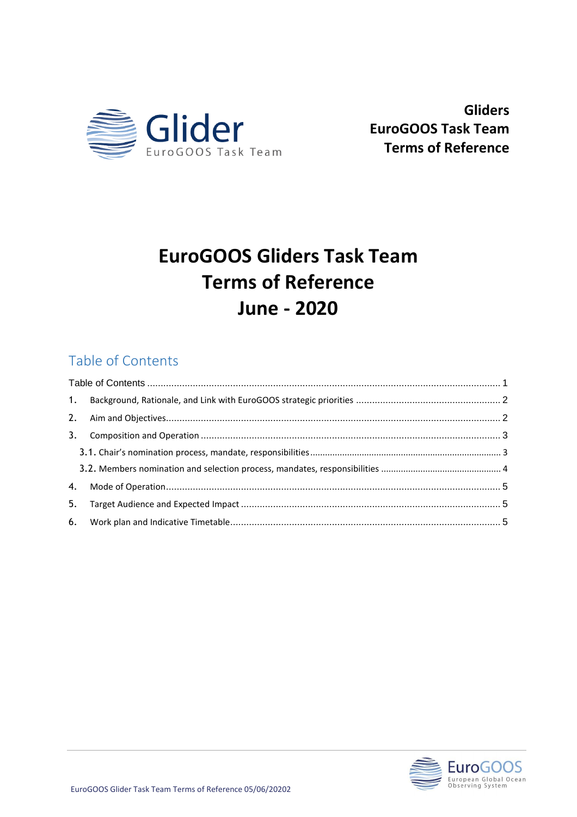

**Gliders EuroGOOS Task Team Terms of Reference**

# **EuroGOOS Gliders Task Team Terms of Reference June - 2020**

# Table of Contents

| 3. |  |  |
|----|--|--|
|    |  |  |
|    |  |  |
|    |  |  |
| 5. |  |  |
|    |  |  |

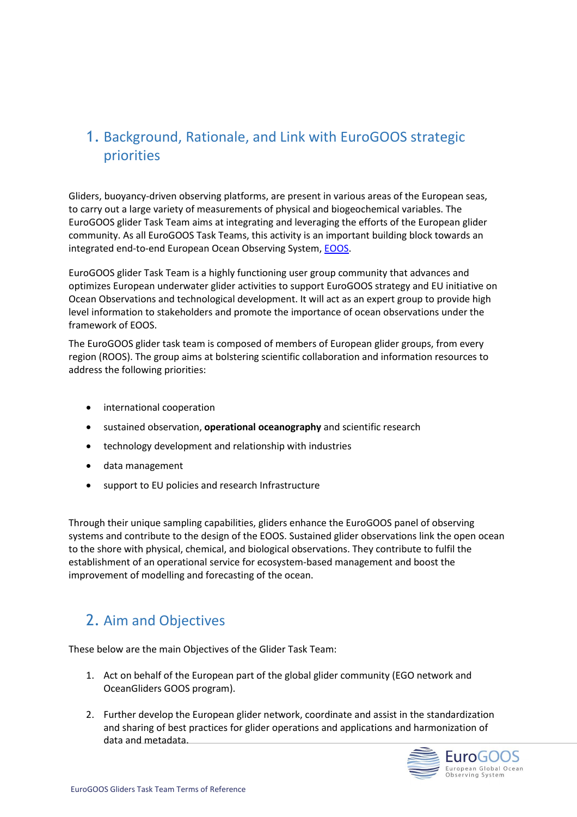### 1. Background, Rationale, and Link with EuroGOOS strategic priorities

Gliders, buoyancy-driven observing platforms, are present in various areas of the European seas, to carry out a large variety of measurements of physical and biogeochemical variables. The EuroGOOS glider Task Team aims at integrating and leveraging the efforts of the European glider community. As all EuroGOOS Task Teams, this activity is an important building block towards an integrated end-to-end European Ocean Observing System, **EOOS**.

EuroGOOS glider Task Team is a highly functioning user group community that advances and optimizes European underwater glider activities to support EuroGOOS strategy and EU initiative on Ocean Observations and technological development. It will act as an expert group to provide high level information to stakeholders and promote the importance of ocean observations under the framework of EOOS.

The EuroGOOS glider task team is composed of members of European glider groups, from every region (ROOS). The group aims at bolstering scientific collaboration and information resources to address the following priorities:

- international cooperation
- sustained observation, **operational oceanography** and scientific research
- technology development and relationship with industries
- data management
- support to EU policies and research Infrastructure

Through their unique sampling capabilities, gliders enhance the EuroGOOS panel of observing systems and contribute to the design of the EOOS. Sustained glider observations link the open ocean to the shore with physical, chemical, and biological observations. They contribute to fulfil the establishment of an operational service for ecosystem-based management and boost the improvement of modelling and forecasting of the ocean.

### 2. Aim and Objectives

These below are the main Objectives of the Glider Task Team:

- 1. Act on behalf of the European part of the global glider community (EGO network and OceanGliders GOOS program).
- 2. Further develop the European glider network, coordinate and assist in the standardization and sharing of best practices for glider operations and applications and harmonization of data and metadata.

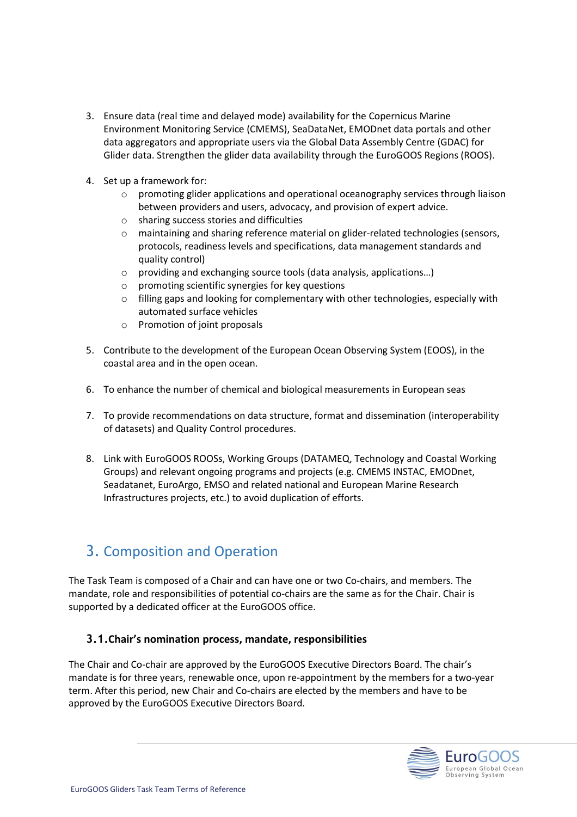- 3. Ensure data (real time and delayed mode) availability for the Copernicus Marine Environment Monitoring Service (CMEMS), SeaDataNet, EMODnet data portals and other data aggregators and appropriate users via the Global Data Assembly Centre (GDAC) for Glider data. Strengthen the glider data availability through the EuroGOOS Regions (ROOS).
- 4. Set up a framework for:
	- $\circ$  promoting glider applications and operational oceanography services through liaison between providers and users, advocacy, and provision of expert advice.
	- o sharing success stories and difficulties
	- $\circ$  maintaining and sharing reference material on glider-related technologies (sensors, protocols, readiness levels and specifications, data management standards and quality control)
	- o providing and exchanging source tools (data analysis, applications…)
	- o promoting scientific synergies for key questions
	- o filling gaps and looking for complementary with other technologies, especially with automated surface vehicles
	- o Promotion of joint proposals
- 5. Contribute to the development of the European Ocean Observing System (EOOS), in the coastal area and in the open ocean.
- 6. To enhance the number of chemical and biological measurements in European seas
- 7. To provide recommendations on data structure, format and dissemination (interoperability of datasets) and Quality Control procedures.
- 8. Link with EuroGOOS ROOSs, Working Groups (DATAMEQ, Technology and Coastal Working Groups) and relevant ongoing programs and projects (e.g. CMEMS INSTAC, EMODnet, Seadatanet, EuroArgo, EMSO and related national and European Marine Research Infrastructures projects, etc.) to avoid duplication of efforts.

## 3. Composition and Operation

The Task Team is composed of a Chair and can have one or two Co-chairs, and members. The mandate, role and responsibilities of potential co-chairs are the same as for the Chair. Chair is supported by a dedicated officer at the EuroGOOS office.

#### **3.1.Chair's nomination process, mandate, responsibilities**

The Chair and Co-chair are approved by the EuroGOOS Executive Directors Board. The chair's mandate is for three years, renewable once, upon re-appointment by the members for a two-year term. After this period, new Chair and Co-chairs are elected by the members and have to be approved by the EuroGOOS Executive Directors Board.

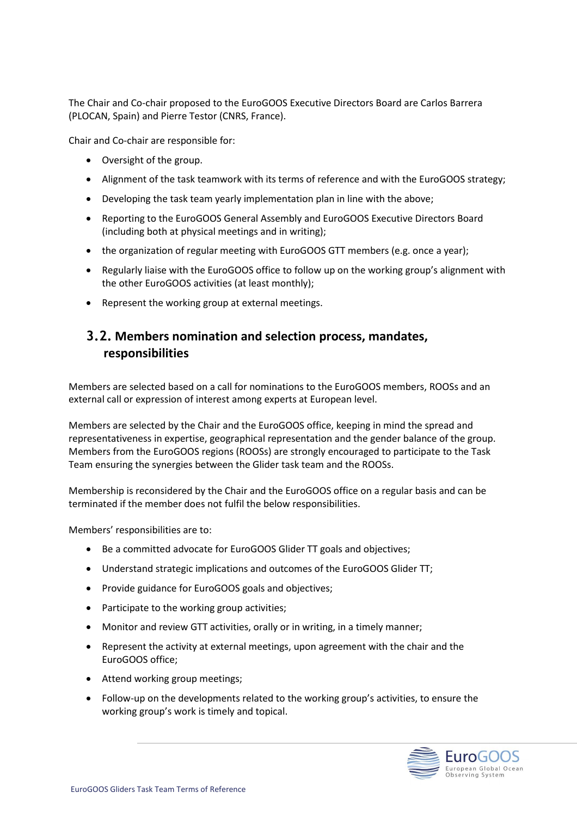The Chair and Co-chair proposed to the EuroGOOS Executive Directors Board are Carlos Barrera (PLOCAN, Spain) and Pierre Testor (CNRS, France).

Chair and Co-chair are responsible for:

- Oversight of the group.
- Alignment of the task teamwork with its terms of reference and with the EuroGOOS strategy;
- Developing the task team yearly implementation plan in line with the above;
- Reporting to the EuroGOOS General Assembly and EuroGOOS Executive Directors Board (including both at physical meetings and in writing);
- the organization of regular meeting with EuroGOOS GTT members (e.g. once a year);
- Regularly liaise with the EuroGOOS office to follow up on the working group's alignment with the other EuroGOOS activities (at least monthly);
- Represent the working group at external meetings.

#### **3.2. Members nomination and selection process, mandates, responsibilities**

Members are selected based on a call for nominations to the EuroGOOS members, ROOSs and an external call or expression of interest among experts at European level.

Members are selected by the Chair and the EuroGOOS office, keeping in mind the spread and representativeness in expertise, geographical representation and the gender balance of the group. Members from the EuroGOOS regions (ROOSs) are strongly encouraged to participate to the Task Team ensuring the synergies between the Glider task team and the ROOSs.

Membership is reconsidered by the Chair and the EuroGOOS office on a regular basis and can be terminated if the member does not fulfil the below responsibilities.

Members' responsibilities are to:

- Be a committed advocate for EuroGOOS Glider TT goals and objectives;
- Understand strategic implications and outcomes of the EuroGOOS Glider TT;
- Provide guidance for EuroGOOS goals and objectives;
- Participate to the working group activities;
- Monitor and review GTT activities, orally or in writing, in a timely manner;
- Represent the activity at external meetings, upon agreement with the chair and the EuroGOOS office;
- Attend working group meetings;
- Follow-up on the developments related to the working group's activities, to ensure the working group's work is timely and topical.

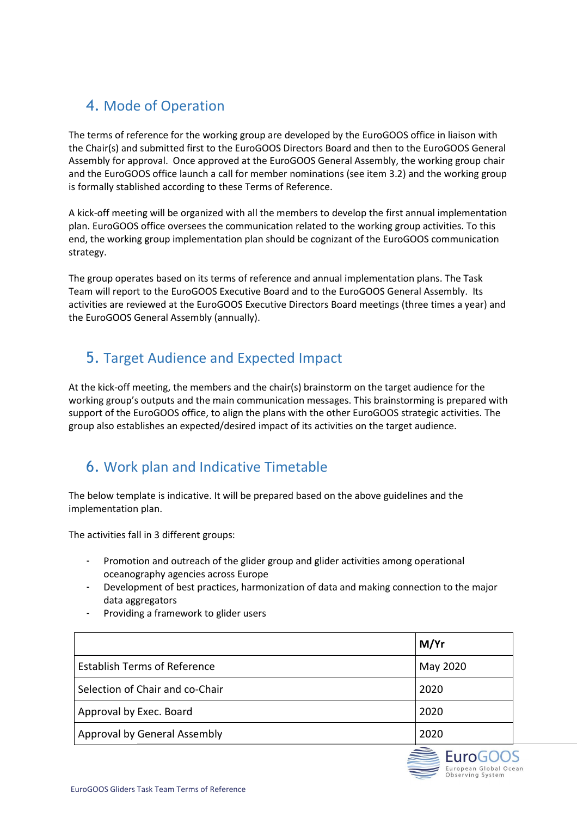### 4. Mode of Operation

The terms of reference for the working group are developed by the EuroGOOS office in liaison with the Chair(s) and submitted first to the EuroGOOS Directors Board and then to the EuroGOOS General Assembly for approval. Once approved at the EuroGOOS General Assembly, the working group chair and the EuroGOOS office launch a call for member nominations (see item 3.2) and the working group is formally stablished according to these Terms of Reference.

A kick-off meeting will be organized with all the members to develop the first annual implementation plan. EuroGOOS office oversees the communication related to the working group activities. To this end, the working group implementation plan should be cognizant of the EuroGOOS communication strategy.

The group operates based on its terms of reference and annual implementation plans. The Task Team will report to the EuroGOOS Executive Board and to the EuroGOOS General Assembly. Its activities are reviewed at the EuroGOOS Executive Directors Board meetings (three times a year) and the EuroGOOS General Assembly (annually).

### 5. Target Audience and Expected Impact

At the kick-off meeting, the members and the chair(s) brainstorm on the target audience for the working group's outputs and the main communication messages. This brainstorming is prepared with support of the EuroGOOS office, to align the plans with the other EuroGOOS strategic activities. The group also establishes an expected/desired impact of its activities on the target audience.

## 6. Work plan and Indicative Timetable

The below template is indicative. It will be prepared based on the above guidelines and the implementation plan.

The activities fall in 3 different groups:

- Promotion and outreach of the glider group and glider activities among operational oceanography agencies across Europe
- Development of best practices, harmonization of data and making connection to the major data aggregators
- Providing a framework to glider users

|                                     | M/Yr     |
|-------------------------------------|----------|
| <b>Establish Terms of Reference</b> | May 2020 |
| Selection of Chair and co-Chair     | 2020     |
| Approval by Exec. Board             | 2020     |
| Approval by General Assembly        | 2020     |